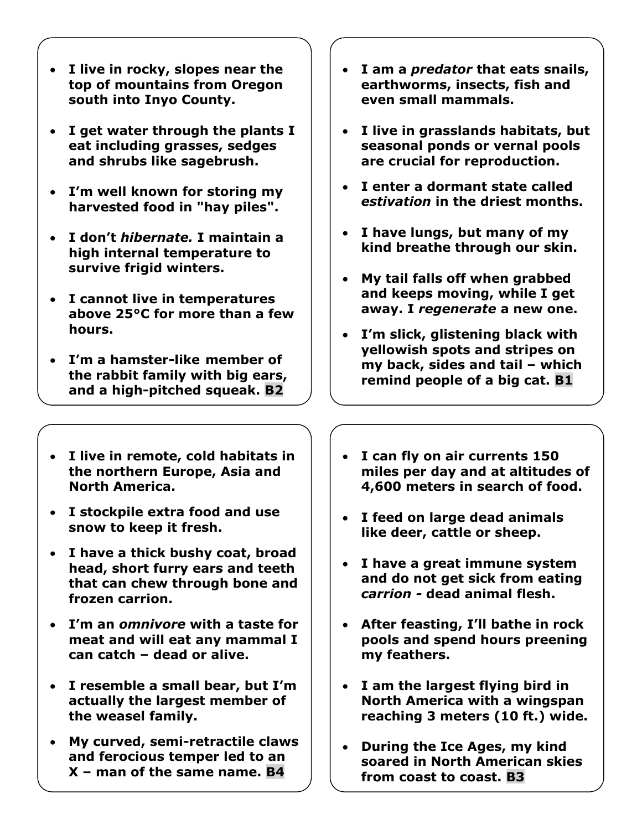- **I live in rocky, slopes near the top of mountains from Oregon south into Inyo County.**
- **I get water through the plants I eat including grasses, sedges and shrubs like sagebrush.**
- **I'm well known for storing my harvested food in "hay piles".**
- **I don't** *hibernate.* **I maintain a high internal temperature to survive frigid winters.**
- **I cannot live in temperatures above 25°C for more than a few hours.**
- **I'm a hamster-like member of the rabbit family with big ears, and a high-pitched squeak. B2**
- **I live in remote, cold habitats in the northern Europe, Asia and North America.**
- **I stockpile extra food and use snow to keep it fresh.**
- **I have a thick bushy coat, broad head, short furry ears and teeth that can chew through bone and frozen carrion.**
- **I'm an** *omnivore* **with a taste for meat and will eat any mammal I can catch – dead or alive.**
- **I resemble a small bear, but I'm actually the largest member of the weasel family.**
- **My curved, semi-retractile claws and ferocious temper led to an X – man of the same name. B4**
- **I am a** *predator* **that eats snails, earthworms, insects, fish and even small mammals.**
- **I live in grasslands habitats, but seasonal ponds or vernal pools are crucial for reproduction.**
- **I enter a dormant state called**  *estivation* **in the driest months.**
- **I have lungs, but many of my kind breathe through our skin.**
- **My tail falls off when grabbed and keeps moving, while I get away. I** *regenerate* **a new one.**
- **I'm slick, glistening black with yellowish spots and stripes on my back, sides and tail – which remind people of a big cat. B1**
- **I can fly on air currents 150 miles per day and at altitudes of 4,600 meters in search of food.**
- **I feed on large dead animals like deer, cattle or sheep.**
- **I have a great immune system and do not get sick from eating**  *carrion -* **dead animal flesh.**
- **After feasting, I'll bathe in rock pools and spend hours preening my feathers.**
- **I am the largest flying bird in North America with a wingspan reaching 3 meters (10 ft.) wide.**
- **During the Ice Ages, my kind soared in North American skies from coast to coast. B3**